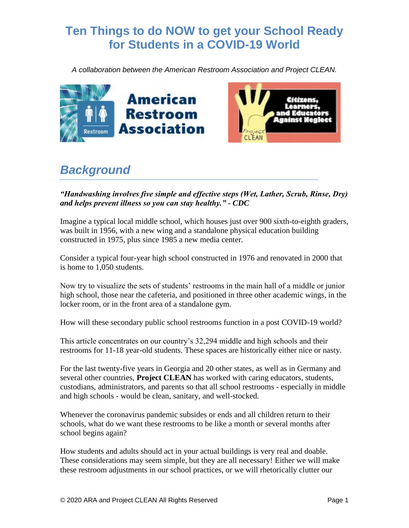# **Ten Things to do NOW to get your School Ready for Students in a COVID-19 World**

*A collaboration between the American Restroom Association and Project CLEAN.*



# *Background*

#### *"Handwashing involves five simple and effective steps (Wet, Lather, Scrub, Rinse, Dry) and helps prevent illness so you can stay healthy." - CDC*

Imagine a typical local middle school, which houses just over 900 sixth-to-eighth graders, was built in 1956, with a new wing and a standalone physical education building constructed in 1975, plus since 1985 a new media center.

Consider a typical four-year high school constructed in 1976 and renovated in 2000 that is home to 1,050 students.

Now try to visualize the sets of students' restrooms in the main hall of a middle or junior high school, those near the cafeteria, and positioned in three other academic wings, in the locker room, or in the front area of a standalone gym.

How will these secondary public school restrooms function in a post COVID-19 world?

This article concentrates on our country's 32,294 middle and high schools and their restrooms for 11-18 year-old students. These spaces are historically either nice or nasty.

For the last twenty-five years in Georgia and 20 other states, as well as in Germany and several other countries, **Project CLEAN** has worked with caring educators, students, custodians, administrators, and parents so that all school restrooms - especially in middle and high schools - would be clean, sanitary, and well-stocked.

Whenever the coronavirus pandemic subsides or ends and all children return to their schools, what do we want these restrooms to be like a month or several months after school begins again?

How students and adults should act in your actual buildings is very real and doable. These considerations may seem simple, but they are all necessary! Either we will make these restroom adjustments in our school practices, or we will rhetorically clutter our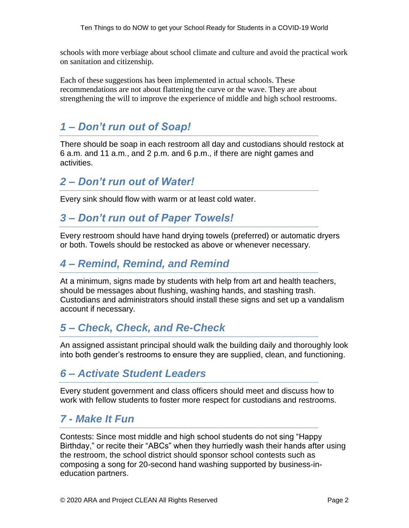schools with more verbiage about school climate and culture and avoid the practical work on sanitation and citizenship.

Each of these suggestions has been implemented in actual schools. These recommendations are not about flattening the curve or the wave. They are about strengthening the will to improve the experience of middle and high school restrooms.

### *1 – Don't run out of Soap!*

There should be soap in each restroom all day and custodians should restock at 6 a.m. and 11 a.m., and 2 p.m. and 6 p.m., if there are night games and activities.

#### *2 – Don't run out of Water!*

Every sink should flow with warm or at least cold water.

### *3 – Don't run out of Paper Towels!*

Every restroom should have hand drying towels (preferred) or automatic dryers or both. Towels should be restocked as above or whenever necessary.

### *4 – Remind, Remind, and Remind*

At a minimum, signs made by students with help from art and health teachers, should be messages about flushing, washing hands, and stashing trash. Custodians and administrators should install these signs and set up a vandalism account if necessary.

## *5 – Check, Check, and Re-Check*

An assigned assistant principal should walk the building daily and thoroughly look into both gender's restrooms to ensure they are supplied, clean, and functioning.

#### *6 – Activate Student Leaders*

Every student government and class officers should meet and discuss how to work with fellow students to foster more respect for custodians and restrooms.

#### *7 - Make It Fun*

Contests: Since most middle and high school students do not sing "Happy Birthday," or recite their "ABCs" when they hurriedly wash their hands after using the restroom, the school district should sponsor school contests such as composing a song for 20-second hand washing supported by business-ineducation partners.